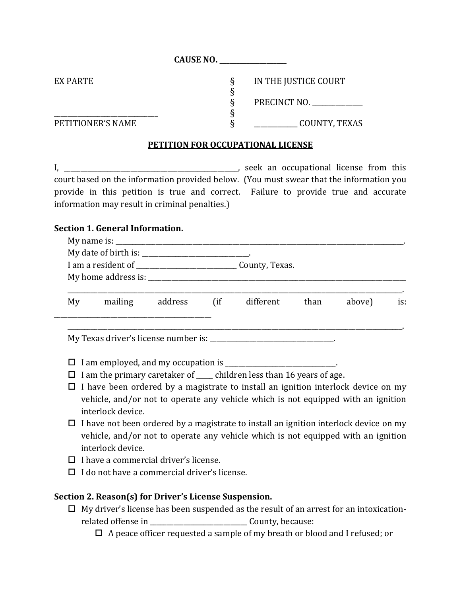**CAUSE NO. \_\_\_\_\_\_\_\_\_\_\_\_\_\_\_\_\_\_\_\_**

| EX PARTE          | IN THE JUSTICE COURT |
|-------------------|----------------------|
|                   | PRECINCT NO.         |
| PETITIONER'S NAME | COUNTY, TEXAS        |

#### **PETITION FOR OCCUPATIONAL LICENSE**

I, \_\_\_\_\_\_\_\_\_\_\_\_\_\_\_\_\_\_\_\_\_\_\_\_\_\_\_\_\_\_\_\_\_\_\_\_\_\_\_\_\_\_\_\_\_\_\_\_\_\_\_\_, seek an occupational license from this court based on the information provided below. (You must swear that the information you provide in this petition is true and correct. Failure to provide true and accurate information may result in criminal penalties.)

#### **Section 1. General Information.**

|    | My home address is: North My home address is: |         |        |           |      |        |     |  |
|----|-----------------------------------------------|---------|--------|-----------|------|--------|-----|--|
| My | mailing                                       | address | $\int$ | different | than | above) | is: |  |
|    |                                               |         |        |           |      |        |     |  |

 $\Box$  I am employed, and my occupation is \_\_\_\_\_\_\_\_\_\_\_\_\_\_\_\_\_\_\_\_\_\_\_\_\_\_\_\_\_.

- $\Box$  I am the primary caretaker of  $\Box$  children less than 16 years of age.
- $\Box$  I have been ordered by a magistrate to install an ignition interlock device on my vehicle, and/or not to operate any vehicle which is not equipped with an ignition interlock device.
- $\Box$  I have not been ordered by a magistrate to install an ignition interlock device on my vehicle, and/or not to operate any vehicle which is not equipped with an ignition interlock device.
- $\Box$  I have a commercial driver's license.
- $\Box$  I do not have a commercial driver's license.

## **Section 2. Reason(s) for Driver's License Suspension.**

 $\Box$  My driver's license has been suspended as the result of an arrest for an intoxicationrelated offense in \_\_\_\_\_\_\_\_\_\_\_\_\_\_\_\_\_\_\_\_\_\_\_\_\_\_\_\_\_\_\_\_\_\_ County, because:

 $\Box$  A peace officer requested a sample of my breath or blood and I refused; or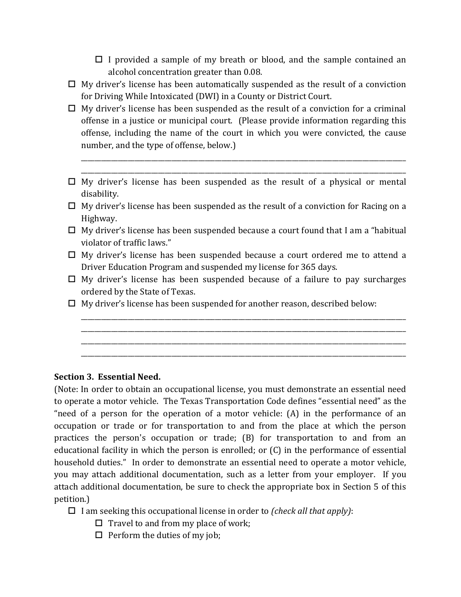- $\Box$  I provided a sample of my breath or blood, and the sample contained an alcohol concentration greater than 0.08.
- $\Box$  My driver's license has been automatically suspended as the result of a conviction for Driving While Intoxicated (DWI) in a County or District Court.
- $\Box$  My driver's license has been suspended as the result of a conviction for a criminal offense in a justice or municipal court. (Please provide information regarding this offense, including the name of the court in which you were convicted, the cause number, and the type of offense, below.)
- $\Box$  My driver's license has been suspended as the result of a physical or mental disability.

\_\_\_\_\_\_\_\_\_\_\_\_\_\_\_\_\_\_\_\_\_\_\_\_\_\_\_\_\_\_\_\_\_\_\_\_\_\_\_\_\_\_\_\_\_\_\_\_\_\_\_\_\_\_\_\_\_\_\_\_\_\_\_\_\_\_\_\_\_\_\_\_\_\_\_\_\_\_\_\_\_\_\_\_\_\_\_\_\_\_\_\_\_\_\_\_\_ \_\_\_\_\_\_\_\_\_\_\_\_\_\_\_\_\_\_\_\_\_\_\_\_\_\_\_\_\_\_\_\_\_\_\_\_\_\_\_\_\_\_\_\_\_\_\_\_\_\_\_\_\_\_\_\_\_\_\_\_\_\_\_\_\_\_\_\_\_\_\_\_\_\_\_\_\_\_\_\_\_\_\_\_\_\_\_\_\_\_\_\_\_\_\_\_\_

- $\Box$  My driver's license has been suspended as the result of a conviction for Racing on a Highway.
- $\Box$  My driver's license has been suspended because a court found that I am a "habitual" violator of traffic laws."
- My driver's license has been suspended because a court ordered me to attend a Driver Education Program and suspended my license for 365 days.
- $\Box$  My driver's license has been suspended because of a failure to pay surcharges ordered by the State of Texas.

\_\_\_\_\_\_\_\_\_\_\_\_\_\_\_\_\_\_\_\_\_\_\_\_\_\_\_\_\_\_\_\_\_\_\_\_\_\_\_\_\_\_\_\_\_\_\_\_\_\_\_\_\_\_\_\_\_\_\_\_\_\_\_\_\_\_\_\_\_\_\_\_\_\_\_\_\_\_\_\_\_\_\_\_\_\_\_\_\_\_\_\_\_\_\_\_\_ \_\_\_\_\_\_\_\_\_\_\_\_\_\_\_\_\_\_\_\_\_\_\_\_\_\_\_\_\_\_\_\_\_\_\_\_\_\_\_\_\_\_\_\_\_\_\_\_\_\_\_\_\_\_\_\_\_\_\_\_\_\_\_\_\_\_\_\_\_\_\_\_\_\_\_\_\_\_\_\_\_\_\_\_\_\_\_\_\_\_\_\_\_\_\_\_\_ \_\_\_\_\_\_\_\_\_\_\_\_\_\_\_\_\_\_\_\_\_\_\_\_\_\_\_\_\_\_\_\_\_\_\_\_\_\_\_\_\_\_\_\_\_\_\_\_\_\_\_\_\_\_\_\_\_\_\_\_\_\_\_\_\_\_\_\_\_\_\_\_\_\_\_\_\_\_\_\_\_\_\_\_\_\_\_\_\_\_\_\_\_\_\_\_\_ \_\_\_\_\_\_\_\_\_\_\_\_\_\_\_\_\_\_\_\_\_\_\_\_\_\_\_\_\_\_\_\_\_\_\_\_\_\_\_\_\_\_\_\_\_\_\_\_\_\_\_\_\_\_\_\_\_\_\_\_\_\_\_\_\_\_\_\_\_\_\_\_\_\_\_\_\_\_\_\_\_\_\_\_\_\_\_\_\_\_\_\_\_\_\_\_\_

 $\Box$  My driver's license has been suspended for another reason, described below:

# **Section 3. Essential Need.**

(Note: In order to obtain an occupational license, you must demonstrate an essential need to operate a motor vehicle. The Texas Transportation Code defines "essential need" as the "need of a person for the operation of a motor vehicle: (A) in the performance of an occupation or trade or for transportation to and from the place at which the person practices the person's occupation or trade; (B) for transportation to and from an educational facility in which the person is enrolled; or (C) in the performance of essential household duties." In order to demonstrate an essential need to operate a motor vehicle, you may attach additional documentation, such as a letter from your employer. If you attach additional documentation, be sure to check the appropriate box in Section 5 of this petition.)

- I am seeking this occupational license in order to *(check all that apply)*:
	- $\Box$  Travel to and from my place of work;
	- $\Box$  Perform the duties of my job;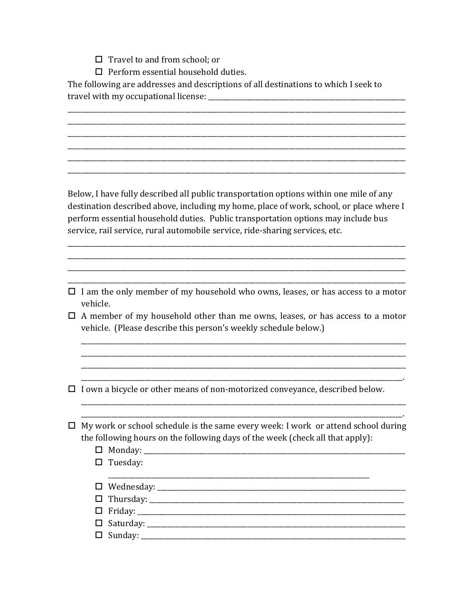- $\Box$  Travel to and from school: or
- $\Box$  Perform essential household duties.

The following are addresses and descriptions of all destinations to which I seek to 

Below, I have fully described all public transportation options within one mile of any destination described above, including my home, place of work, school, or place where I perform essential household duties. Public transportation options may include bus service, rail service, rural automobile service, ride-sharing services, etc.

- $\Box$  I am the only member of my household who owns, leases, or has access to a motor vehicle.
- $\Box$  A member of my household other than me owns, leases, or has access to a motor vehicle. (Please describe this person's weekly schedule below.)

 $\Box$  I own a bicycle or other means of non-motorized conveyance, described below.

- $\Box$  My work or school schedule is the same every week: I work or attend school during the following hours on the following days of the week (check all that apply):
	-
	- $\Box$  Tuesday:
	- $\Box$  Wednesday:  $\Box$  Friday: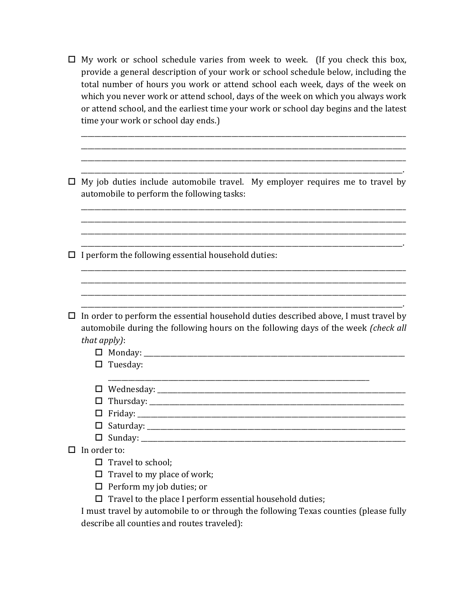$\Box$  My work or school schedule varies from week to week. (If you check this box, provide a general description of your work or school schedule below, including the total number of hours you work or attend school each week, days of the week on which you never work or attend school, days of the week on which you always work or attend school, and the earliest time your work or school day begins and the latest time your work or school day ends.)

\_\_\_\_\_\_\_\_\_\_\_\_\_\_\_\_\_\_\_\_\_\_\_\_\_\_\_\_\_\_\_\_\_\_\_\_\_\_\_\_\_\_\_\_\_\_\_\_\_\_\_\_\_\_\_\_\_\_\_\_\_\_\_\_\_\_\_\_\_\_\_\_\_\_\_\_\_\_\_\_\_\_\_\_\_\_\_\_\_\_\_\_\_\_\_\_\_ \_\_\_\_\_\_\_\_\_\_\_\_\_\_\_\_\_\_\_\_\_\_\_\_\_\_\_\_\_\_\_\_\_\_\_\_\_\_\_\_\_\_\_\_\_\_\_\_\_\_\_\_\_\_\_\_\_\_\_\_\_\_\_\_\_\_\_\_\_\_\_\_\_\_\_\_\_\_\_\_\_\_\_\_\_\_\_\_\_\_\_\_\_\_\_\_\_ \_\_\_\_\_\_\_\_\_\_\_\_\_\_\_\_\_\_\_\_\_\_\_\_\_\_\_\_\_\_\_\_\_\_\_\_\_\_\_\_\_\_\_\_\_\_\_\_\_\_\_\_\_\_\_\_\_\_\_\_\_\_\_\_\_\_\_\_\_\_\_\_\_\_\_\_\_\_\_\_\_\_\_\_\_\_\_\_\_\_\_\_\_\_\_\_\_ \_\_\_\_\_\_\_\_\_\_\_\_\_\_\_\_\_\_\_\_\_\_\_\_\_\_\_\_\_\_\_\_\_\_\_\_\_\_\_\_\_\_\_\_\_\_\_\_\_\_\_\_\_\_\_\_\_\_\_\_\_\_\_\_\_\_\_\_\_\_\_\_\_\_\_\_\_\_\_\_\_\_\_\_\_\_\_\_\_\_\_\_\_\_\_\_.

 $\Box$  My job duties include automobile travel. My employer requires me to travel by automobile to perform the following tasks:

\_\_\_\_\_\_\_\_\_\_\_\_\_\_\_\_\_\_\_\_\_\_\_\_\_\_\_\_\_\_\_\_\_\_\_\_\_\_\_\_\_\_\_\_\_\_\_\_\_\_\_\_\_\_\_\_\_\_\_\_\_\_\_\_\_\_\_\_\_\_\_\_\_\_\_\_\_\_\_\_\_\_\_\_\_\_\_\_\_\_\_\_\_\_\_\_.

\_\_\_\_\_\_\_\_\_\_\_\_\_\_\_\_\_\_\_\_\_\_\_\_\_\_\_\_\_\_\_\_\_\_\_\_\_\_\_\_\_\_\_\_\_\_\_\_\_\_\_\_\_\_\_\_\_\_\_\_\_\_\_\_\_\_\_\_\_\_\_\_\_\_\_\_\_\_\_\_\_\_\_\_\_\_\_\_\_\_\_\_\_\_\_\_\_ \_\_\_\_\_\_\_\_\_\_\_\_\_\_\_\_\_\_\_\_\_\_\_\_\_\_\_\_\_\_\_\_\_\_\_\_\_\_\_\_\_\_\_\_\_\_\_\_\_\_\_\_\_\_\_\_\_\_\_\_\_\_\_\_\_\_\_\_\_\_\_\_\_\_\_\_\_\_\_\_\_\_\_\_\_\_\_\_\_\_\_\_\_\_\_\_\_ \_\_\_\_\_\_\_\_\_\_\_\_\_\_\_\_\_\_\_\_\_\_\_\_\_\_\_\_\_\_\_\_\_\_\_\_\_\_\_\_\_\_\_\_\_\_\_\_\_\_\_\_\_\_\_\_\_\_\_\_\_\_\_\_\_\_\_\_\_\_\_\_\_\_\_\_\_\_\_\_\_\_\_\_\_\_\_\_\_\_\_\_\_\_\_\_\_

\_\_\_\_\_\_\_\_\_\_\_\_\_\_\_\_\_\_\_\_\_\_\_\_\_\_\_\_\_\_\_\_\_\_\_\_\_\_\_\_\_\_\_\_\_\_\_\_\_\_\_\_\_\_\_\_\_\_\_\_\_\_\_\_\_\_\_\_\_\_\_\_\_\_\_\_\_\_\_\_\_\_\_\_\_\_\_\_\_\_\_\_\_\_\_\_\_

\_\_\_\_\_\_\_\_\_\_\_\_\_\_\_\_\_\_\_\_\_\_\_\_\_\_\_\_\_\_\_\_\_\_\_\_\_\_\_\_\_\_\_\_\_\_\_\_\_\_\_\_\_\_\_\_\_\_\_\_\_\_\_\_\_\_\_\_\_\_\_\_\_\_\_\_\_\_\_\_\_\_\_\_\_\_\_\_\_\_\_\_\_\_\_\_\_ \_\_\_\_\_\_\_\_\_\_\_\_\_\_\_\_\_\_\_\_\_\_\_\_\_\_\_\_\_\_\_\_\_\_\_\_\_\_\_\_\_\_\_\_\_\_\_\_\_\_\_\_\_\_\_\_\_\_\_\_\_\_\_\_\_\_\_\_\_\_\_\_\_\_\_\_\_\_\_\_\_\_\_\_\_\_\_\_\_\_\_\_\_\_\_\_\_

 $\Box$  I perform the following essential household duties:

- $\Box$  In order to perform the essential household duties described above, I must travel by automobile during the following hours on the following days of the week *(check all that apply)*:
	- $\Box$  Monday:
	- $\square$  Tuesday:
	- \_\_\_\_\_\_\_\_\_\_\_\_\_\_\_\_\_\_\_\_\_\_\_\_\_\_\_\_\_\_\_\_\_\_\_\_\_\_\_\_\_\_\_\_\_\_\_\_\_\_\_\_\_\_\_\_\_\_\_\_\_\_\_\_\_\_\_\_\_\_\_\_\_\_\_\_\_\_ Wednesday: \_\_\_\_\_\_\_\_\_\_\_\_\_\_\_\_\_\_\_\_\_\_\_\_\_\_\_\_\_\_\_\_\_\_\_\_\_\_\_\_\_\_\_\_\_\_\_\_\_\_\_\_\_\_\_\_\_\_\_\_\_\_\_\_\_\_\_\_\_\_\_\_\_\_
	- Thursday: \_\_\_\_\_\_\_\_\_\_\_\_\_\_\_\_\_\_\_\_\_\_\_\_\_\_\_\_\_\_\_\_\_\_\_\_\_\_\_\_\_\_\_\_\_\_\_\_\_\_\_\_\_\_\_\_\_\_\_\_\_\_\_\_\_\_\_\_\_\_\_\_\_\_\_\_
	- Friday: \_\_\_\_\_\_\_\_\_\_\_\_\_\_\_\_\_\_\_\_\_\_\_\_\_\_\_\_\_\_\_\_\_\_\_\_\_\_\_\_\_\_\_\_\_\_\_\_\_\_\_\_\_\_\_\_\_\_\_\_\_\_\_\_\_\_\_\_\_\_\_\_\_\_\_\_\_\_\_\_
	- Saturday: \_\_\_\_\_\_\_\_\_\_\_\_\_\_\_\_\_\_\_\_\_\_\_\_\_\_\_\_\_\_\_\_\_\_\_\_\_\_\_\_\_\_\_\_\_\_\_\_\_\_\_\_\_\_\_\_\_\_\_\_\_\_\_\_\_\_\_\_\_\_\_\_\_\_\_\_\_
	- Sunday: \_\_\_\_\_\_\_\_\_\_\_\_\_\_\_\_\_\_\_\_\_\_\_\_\_\_\_\_\_\_\_\_\_\_\_\_\_\_\_\_\_\_\_\_\_\_\_\_\_\_\_\_\_\_\_\_\_\_\_\_\_\_\_\_\_\_\_\_\_\_\_\_\_\_\_\_\_\_\_

 $\Box$  In order to:

 $\Box$  Travel to school;

- $\Box$  Travel to my place of work;
- $\Box$  Perform my job duties; or
- $\Box$  Travel to the place I perform essential household duties;

I must travel by automobile to or through the following Texas counties (please fully describe all counties and routes traveled):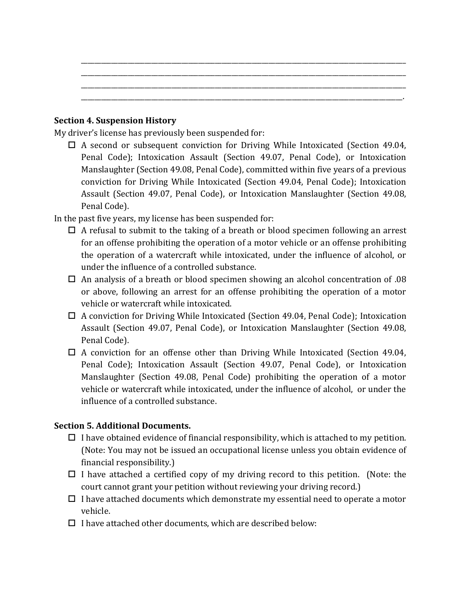### **Section 4. Suspension History**

My driver's license has previously been suspended for:

 $\Box$  A second or subsequent conviction for Driving While Intoxicated (Section 49.04, Penal Code); Intoxication Assault (Section 49.07, Penal Code), or Intoxication Manslaughter (Section 49.08, Penal Code), committed within five years of a previous conviction for Driving While Intoxicated (Section 49.04, Penal Code); Intoxication Assault (Section 49.07, Penal Code), or Intoxication Manslaughter (Section 49.08, Penal Code).

\_\_\_\_\_\_\_\_\_\_\_\_\_\_\_\_\_\_\_\_\_\_\_\_\_\_\_\_\_\_\_\_\_\_\_\_\_\_\_\_\_\_\_\_\_\_\_\_\_\_\_\_\_\_\_\_\_\_\_\_\_\_\_\_\_\_\_\_\_\_\_\_\_\_\_\_\_\_\_\_\_\_\_\_\_\_\_\_\_\_\_\_\_\_\_\_\_ \_\_\_\_\_\_\_\_\_\_\_\_\_\_\_\_\_\_\_\_\_\_\_\_\_\_\_\_\_\_\_\_\_\_\_\_\_\_\_\_\_\_\_\_\_\_\_\_\_\_\_\_\_\_\_\_\_\_\_\_\_\_\_\_\_\_\_\_\_\_\_\_\_\_\_\_\_\_\_\_\_\_\_\_\_\_\_\_\_\_\_\_\_\_\_\_\_ \_\_\_\_\_\_\_\_\_\_\_\_\_\_\_\_\_\_\_\_\_\_\_\_\_\_\_\_\_\_\_\_\_\_\_\_\_\_\_\_\_\_\_\_\_\_\_\_\_\_\_\_\_\_\_\_\_\_\_\_\_\_\_\_\_\_\_\_\_\_\_\_\_\_\_\_\_\_\_\_\_\_\_\_\_\_\_\_\_\_\_\_\_\_\_\_\_ \_\_\_\_\_\_\_\_\_\_\_\_\_\_\_\_\_\_\_\_\_\_\_\_\_\_\_\_\_\_\_\_\_\_\_\_\_\_\_\_\_\_\_\_\_\_\_\_\_\_\_\_\_\_\_\_\_\_\_\_\_\_\_\_\_\_\_\_\_\_\_\_\_\_\_\_\_\_\_\_\_\_\_\_\_\_\_\_\_\_\_\_\_\_\_\_.

In the past five years, my license has been suspended for:

- $\Box$  A refusal to submit to the taking of a breath or blood specimen following an arrest for an offense prohibiting the operation of a motor vehicle or an offense prohibiting the operation of a watercraft while intoxicated, under the influence of alcohol, or under the influence of a controlled substance.
- $\Box$  An analysis of a breath or blood specimen showing an alcohol concentration of .08 or above, following an arrest for an offense prohibiting the operation of a motor vehicle or watercraft while intoxicated.
- $\Box$  A conviction for Driving While Intoxicated (Section 49.04, Penal Code); Intoxication Assault (Section 49.07, Penal Code), or Intoxication Manslaughter (Section 49.08, Penal Code).
- $\Box$  A conviction for an offense other than Driving While Intoxicated (Section 49.04, Penal Code); Intoxication Assault (Section 49.07, Penal Code), or Intoxication Manslaughter (Section 49.08, Penal Code) prohibiting the operation of a motor vehicle or watercraft while intoxicated, under the influence of alcohol, or under the influence of a controlled substance.

## **Section 5. Additional Documents.**

- $\Box$  I have obtained evidence of financial responsibility, which is attached to my petition. (Note: You may not be issued an occupational license unless you obtain evidence of financial responsibility.)
- $\Box$  I have attached a certified copy of my driving record to this petition. (Note: the court cannot grant your petition without reviewing your driving record.)
- $\Box$  I have attached documents which demonstrate my essential need to operate a motor vehicle.
- $\Box$  I have attached other documents, which are described below: